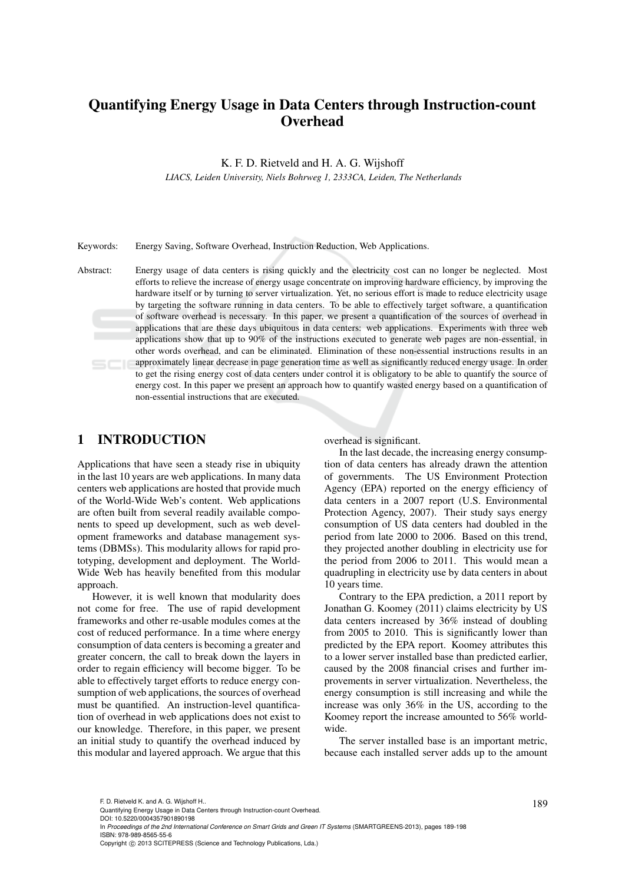# Quantifying Energy Usage in Data Centers through Instruction-count **Overhead**

K. F. D. Rietveld and H. A. G. Wijshoff

*LIACS, Leiden University, Niels Bohrweg 1, 2333CA, Leiden, The Netherlands*

Keywords: Energy Saving, Software Overhead, Instruction Reduction, Web Applications.

Abstract: Energy usage of data centers is rising quickly and the electricity cost can no longer be neglected. Most efforts to relieve the increase of energy usage concentrate on improving hardware efficiency, by improving the hardware itself or by turning to server virtualization. Yet, no serious effort is made to reduce electricity usage by targeting the software running in data centers. To be able to effectively target software, a quantification of software overhead is necessary. In this paper, we present a quantification of the sources of overhead in applications that are these days ubiquitous in data centers: web applications. Experiments with three web applications show that up to 90% of the instructions executed to generate web pages are non-essential, in other words overhead, and can be eliminated. Elimination of these non-essential instructions results in an approximately linear decrease in page generation time as well as significantly reduced energy usage. In order to get the rising energy cost of data centers under control it is obligatory to be able to quantify the source of energy cost. In this paper we present an approach how to quantify wasted energy based on a quantification of non-essential instructions that are executed.

### 1 INTRODUCTION

Applications that have seen a steady rise in ubiquity in the last 10 years are web applications. In many data centers web applications are hosted that provide much of the World-Wide Web's content. Web applications are often built from several readily available components to speed up development, such as web development frameworks and database management systems (DBMSs). This modularity allows for rapid prototyping, development and deployment. The World-Wide Web has heavily benefited from this modular approach.

However, it is well known that modularity does not come for free. The use of rapid development frameworks and other re-usable modules comes at the cost of reduced performance. In a time where energy consumption of data centers is becoming a greater and greater concern, the call to break down the layers in order to regain efficiency will become bigger. To be able to effectively target efforts to reduce energy consumption of web applications, the sources of overhead must be quantified. An instruction-level quantification of overhead in web applications does not exist to our knowledge. Therefore, in this paper, we present an initial study to quantify the overhead induced by this modular and layered approach. We argue that this

overhead is significant.

In the last decade, the increasing energy consumption of data centers has already drawn the attention of governments. The US Environment Protection Agency (EPA) reported on the energy efficiency of data centers in a 2007 report (U.S. Environmental Protection Agency, 2007). Their study says energy consumption of US data centers had doubled in the period from late 2000 to 2006. Based on this trend, they projected another doubling in electricity use for the period from 2006 to 2011. This would mean a quadrupling in electricity use by data centers in about 10 years time.

Contrary to the EPA prediction, a 2011 report by Jonathan G. Koomey (2011) claims electricity by US data centers increased by 36% instead of doubling from 2005 to 2010. This is significantly lower than predicted by the EPA report. Koomey attributes this to a lower server installed base than predicted earlier, caused by the 2008 financial crises and further improvements in server virtualization. Nevertheless, the energy consumption is still increasing and while the increase was only 36% in the US, according to the Koomey report the increase amounted to 56% worldwide.

The server installed base is an important metric, because each installed server adds up to the amount

F. D. Rietveld K. and A. G. Wijshoff H..<br>Quantifying Energy Usage in Data Centers through Instruction-count Overhead. DOI: 10.5220/0004357901890198

In *Proceedings of the 2nd International Conference on Smart Grids and Green IT Systems* (SMARTGREENS-2013), pages 189-198 ISBN: 978-989-8565-55-6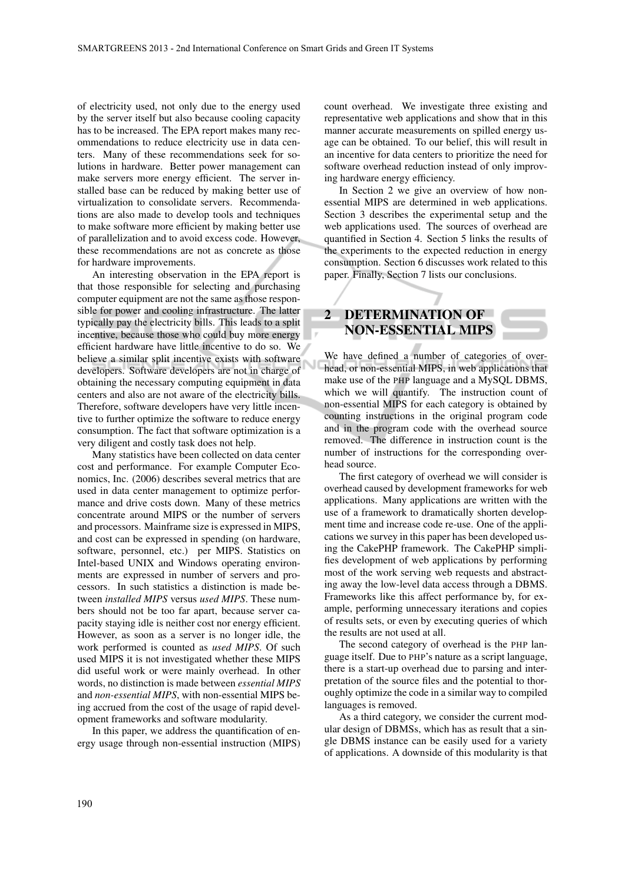of electricity used, not only due to the energy used by the server itself but also because cooling capacity has to be increased. The EPA report makes many recommendations to reduce electricity use in data centers. Many of these recommendations seek for solutions in hardware. Better power management can make servers more energy efficient. The server installed base can be reduced by making better use of virtualization to consolidate servers. Recommendations are also made to develop tools and techniques to make software more efficient by making better use of parallelization and to avoid excess code. However, these recommendations are not as concrete as those for hardware improvements.

An interesting observation in the EPA report is that those responsible for selecting and purchasing computer equipment are not the same as those responsible for power and cooling infrastructure. The latter typically pay the electricity bills. This leads to a split incentive, because those who could buy more energy efficient hardware have little incentive to do so. We believe a similar split incentive exists with software developers. Software developers are not in charge of obtaining the necessary computing equipment in data centers and also are not aware of the electricity bills. Therefore, software developers have very little incentive to further optimize the software to reduce energy consumption. The fact that software optimization is a very diligent and costly task does not help.

Many statistics have been collected on data center cost and performance. For example Computer Economics, Inc. (2006) describes several metrics that are used in data center management to optimize performance and drive costs down. Many of these metrics concentrate around MIPS or the number of servers and processors. Mainframe size is expressed in MIPS, and cost can be expressed in spending (on hardware, software, personnel, etc.) per MIPS. Statistics on Intel-based UNIX and Windows operating environments are expressed in number of servers and processors. In such statistics a distinction is made between *installed MIPS* versus *used MIPS*. These numbers should not be too far apart, because server capacity staying idle is neither cost nor energy efficient. However, as soon as a server is no longer idle, the work performed is counted as *used MIPS*. Of such used MIPS it is not investigated whether these MIPS did useful work or were mainly overhead. In other words, no distinction is made between *essential MIPS* and *non-essential MIPS*, with non-essential MIPS being accrued from the cost of the usage of rapid development frameworks and software modularity.

In this paper, we address the quantification of energy usage through non-essential instruction (MIPS) count overhead. We investigate three existing and representative web applications and show that in this manner accurate measurements on spilled energy usage can be obtained. To our belief, this will result in an incentive for data centers to prioritize the need for software overhead reduction instead of only improving hardware energy efficiency.

In Section 2 we give an overview of how nonessential MIPS are determined in web applications. Section 3 describes the experimental setup and the web applications used. The sources of overhead are quantified in Section 4. Section 5 links the results of the experiments to the expected reduction in energy consumption. Section 6 discusses work related to this paper. Finally, Section 7 lists our conclusions.

## 2 DETERMINATION OF NON-ESSENTIAL MIPS

We have defined a number of categories of overhead, or non-essential MIPS, in web applications that make use of the PHP language and a MySQL DBMS, which we will quantify. The instruction count of non-essential MIPS for each category is obtained by counting instructions in the original program code and in the program code with the overhead source removed. The difference in instruction count is the number of instructions for the corresponding overhead source.

The first category of overhead we will consider is overhead caused by development frameworks for web applications. Many applications are written with the use of a framework to dramatically shorten development time and increase code re-use. One of the applications we survey in this paper has been developed using the CakePHP framework. The CakePHP simplifies development of web applications by performing most of the work serving web requests and abstracting away the low-level data access through a DBMS. Frameworks like this affect performance by, for example, performing unnecessary iterations and copies of results sets, or even by executing queries of which the results are not used at all.

The second category of overhead is the PHP language itself. Due to PHP's nature as a script language, there is a start-up overhead due to parsing and interpretation of the source files and the potential to thoroughly optimize the code in a similar way to compiled languages is removed.

As a third category, we consider the current modular design of DBMSs, which has as result that a single DBMS instance can be easily used for a variety of applications. A downside of this modularity is that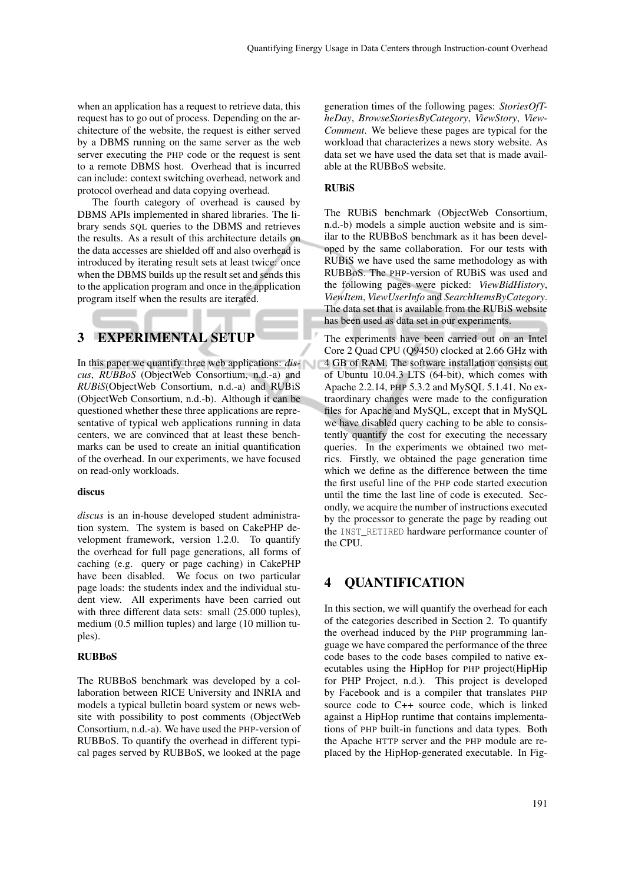when an application has a request to retrieve data, this request has to go out of process. Depending on the architecture of the website, the request is either served by a DBMS running on the same server as the web server executing the PHP code or the request is sent to a remote DBMS host. Overhead that is incurred can include: context switching overhead, network and protocol overhead and data copying overhead.

The fourth category of overhead is caused by DBMS APIs implemented in shared libraries. The library sends SQL queries to the DBMS and retrieves the results. As a result of this architecture details on the data accesses are shielded off and also overhead is introduced by iterating result sets at least twice: once when the DBMS builds up the result set and sends this to the application program and once in the application program itself when the results are iterated.

### 3 EXPERIMENTAL SETUP

In this paper we quantify three web applications: *discus*, *RUBBoS* (ObjectWeb Consortium, n.d.-a) and *RUBiS*(ObjectWeb Consortium, n.d.-a) and RUBiS (ObjectWeb Consortium, n.d.-b). Although it can be questioned whether these three applications are representative of typical web applications running in data centers, we are convinced that at least these benchmarks can be used to create an initial quantification of the overhead. In our experiments, we have focused on read-only workloads.

#### discus

*discus* is an in-house developed student administration system. The system is based on CakePHP development framework, version 1.2.0. To quantify the overhead for full page generations, all forms of caching (e.g. query or page caching) in CakePHP have been disabled. We focus on two particular page loads: the students index and the individual student view. All experiments have been carried out with three different data sets: small (25.000 tuples), medium (0.5 million tuples) and large (10 million tuples).

#### RUBBoS

The RUBBoS benchmark was developed by a collaboration between RICE University and INRIA and models a typical bulletin board system or news website with possibility to post comments (ObjectWeb Consortium, n.d.-a). We have used the PHP-version of RUBBoS. To quantify the overhead in different typical pages served by RUBBoS, we looked at the page

generation times of the following pages: *StoriesOfTheDay*, *BrowseStoriesByCategory*, *ViewStory*, *View-Comment*. We believe these pages are typical for the workload that characterizes a news story website. As data set we have used the data set that is made available at the RUBBoS website.

#### **RUBIS**

The RUBiS benchmark (ObjectWeb Consortium, n.d.-b) models a simple auction website and is similar to the RUBBoS benchmark as it has been developed by the same collaboration. For our tests with RUBiS we have used the same methodology as with RUBBoS. The PHP-version of RUBiS was used and the following pages were picked: *ViewBidHistory*, *ViewItem*, *ViewUserInfo* and *SearchItemsByCategory*. The data set that is available from the RUBiS website has been used as data set in our experiments.

The experiments have been carried out on an Intel Core 2 Quad CPU (Q9450) clocked at 2.66 GHz with 4 GB of RAM. The software installation consists out of Ubuntu 10.04.3 LTS (64-bit), which comes with Apache 2.2.14, PHP 5.3.2 and MySQL 5.1.41. No extraordinary changes were made to the configuration files for Apache and MySQL, except that in MySQL we have disabled query caching to be able to consistently quantify the cost for executing the necessary queries. In the experiments we obtained two metrics. Firstly, we obtained the page generation time which we define as the difference between the time the first useful line of the PHP code started execution until the time the last line of code is executed. Secondly, we acquire the number of instructions executed by the processor to generate the page by reading out the INST\_RETIRED hardware performance counter of the CPU.

### 4 QUANTIFICATION

In this section, we will quantify the overhead for each of the categories described in Section 2. To quantify the overhead induced by the PHP programming language we have compared the performance of the three code bases to the code bases compiled to native executables using the HipHop for PHP project(HipHip for PHP Project, n.d.). This project is developed by Facebook and is a compiler that translates PHP source code to C++ source code, which is linked against a HipHop runtime that contains implementations of PHP built-in functions and data types. Both the Apache HTTP server and the PHP module are replaced by the HipHop-generated executable. In Fig-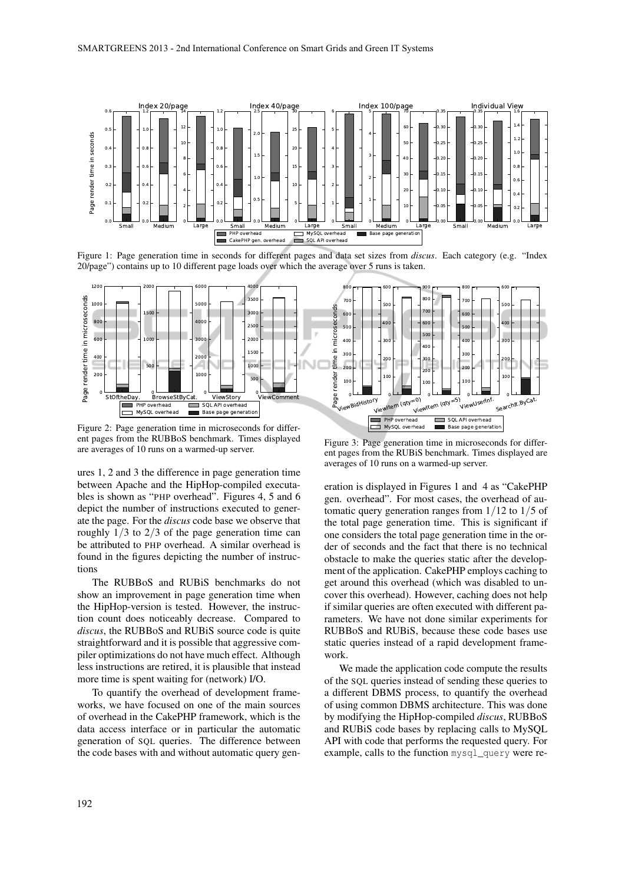

Figure 1: Page generation time in seconds for different pages and data set sizes from *discus*. Each category (e.g. "Index 20/page") contains up to 10 different page loads over which the average over 5 runs is taken.



Figure 2: Page generation time in microseconds for different pages from the RUBBoS benchmark. Times displayed are averages of 10 runs on a warmed-up server.

ures 1, 2 and 3 the difference in page generation time between Apache and the HipHop-compiled executables is shown as "PHP overhead". Figures 4, 5 and 6 depict the number of instructions executed to generate the page. For the *discus* code base we observe that roughly  $1/3$  to  $2/3$  of the page generation time can be attributed to PHP overhead. A similar overhead is found in the figures depicting the number of instructions

The RUBBoS and RUBiS benchmarks do not show an improvement in page generation time when the HipHop-version is tested. However, the instruction count does noticeably decrease. Compared to *discus*, the RUBBoS and RUBiS source code is quite straightforward and it is possible that aggressive compiler optimizations do not have much effect. Although less instructions are retired, it is plausible that instead more time is spent waiting for (network) I/O.

To quantify the overhead of development frameworks, we have focused on one of the main sources of overhead in the CakePHP framework, which is the data access interface or in particular the automatic generation of SQL queries. The difference between the code bases with and without automatic query gen-

Figure 3: Page generation time in microseconds for different pages from the RUBiS benchmark. Times displayed are averages of 10 runs on a warmed-up server.

eration is displayed in Figures 1 and 4 as "CakePHP gen. overhead". For most cases, the overhead of automatic query generation ranges from 1/12 to 1/5 of the total page generation time. This is significant if one considers the total page generation time in the order of seconds and the fact that there is no technical obstacle to make the queries static after the development of the application. CakePHP employs caching to get around this overhead (which was disabled to uncover this overhead). However, caching does not help if similar queries are often executed with different parameters. We have not done similar experiments for RUBBoS and RUBiS, because these code bases use static queries instead of a rapid development framework.

We made the application code compute the results of the SQL queries instead of sending these queries to a different DBMS process, to quantify the overhead of using common DBMS architecture. This was done by modifying the HipHop-compiled *discus*, RUBBoS and RUBiS code bases by replacing calls to MySQL API with code that performs the requested query. For example, calls to the function mysql\_query were re-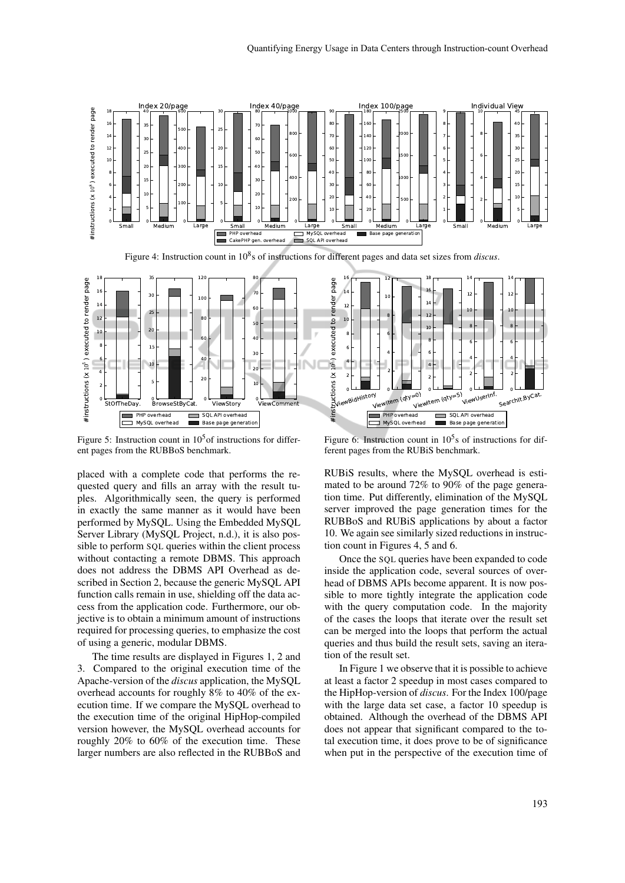

Figure 5: Instruction count in  $10<sup>5</sup>$  of instructions for different pages from the RUBBoS benchmark.

placed with a complete code that performs the requested query and fills an array with the result tuples. Algorithmically seen, the query is performed in exactly the same manner as it would have been performed by MySQL. Using the Embedded MySQL Server Library (MySQL Project, n.d.), it is also possible to perform SQL queries within the client process without contacting a remote DBMS. This approach does not address the DBMS API Overhead as described in Section 2, because the generic MySQL API function calls remain in use, shielding off the data access from the application code. Furthermore, our objective is to obtain a minimum amount of instructions required for processing queries, to emphasize the cost of using a generic, modular DBMS.

The time results are displayed in Figures 1, 2 and 3. Compared to the original execution time of the Apache-version of the *discus* application, the MySQL overhead accounts for roughly 8% to 40% of the execution time. If we compare the MySQL overhead to the execution time of the original HipHop-compiled version however, the MySQL overhead accounts for roughly 20% to 60% of the execution time. These larger numbers are also reflected in the RUBBoS and

Figure 6: Instruction count in  $10^5$ s of instructions for different pages from the RUBiS benchmark.

RUBiS results, where the MySQL overhead is estimated to be around 72% to 90% of the page generation time. Put differently, elimination of the MySQL server improved the page generation times for the RUBBoS and RUBiS applications by about a factor 10. We again see similarly sized reductions in instruction count in Figures 4, 5 and 6.

Once the SQL queries have been expanded to code inside the application code, several sources of overhead of DBMS APIs become apparent. It is now possible to more tightly integrate the application code with the query computation code. In the majority of the cases the loops that iterate over the result set can be merged into the loops that perform the actual queries and thus build the result sets, saving an iteration of the result set.

In Figure 1 we observe that it is possible to achieve at least a factor 2 speedup in most cases compared to the HipHop-version of *discus*. For the Index 100/page with the large data set case, a factor 10 speedup is obtained. Although the overhead of the DBMS API does not appear that significant compared to the total execution time, it does prove to be of significance when put in the perspective of the execution time of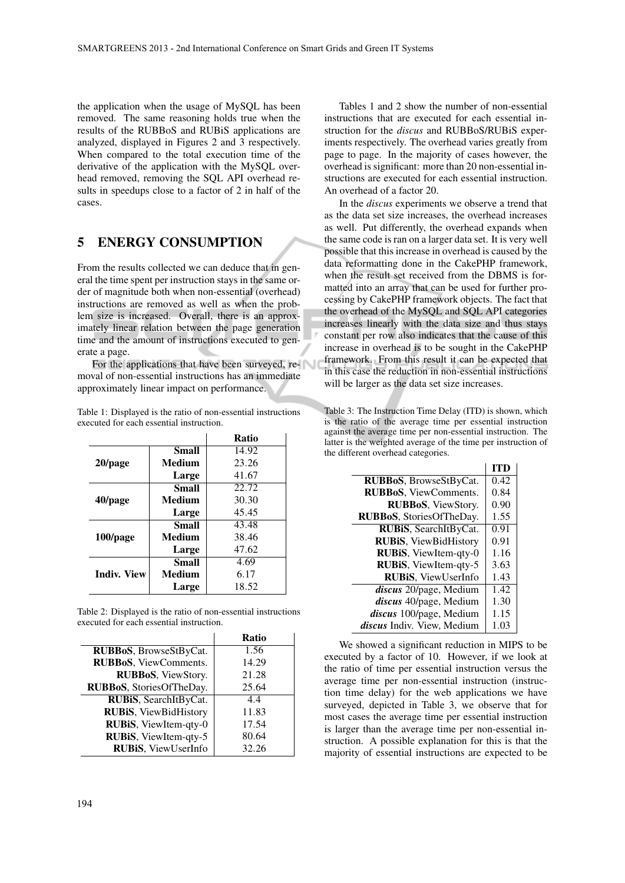the application when the usage of MySQL has been removed. The same reasoning holds true when the results of the RUBBoS and RUBiS applications are analyzed, displayed in Figures 2 and 3 respectively. When compared to the total execution time of the derivative of the application with the MySQL overhead removed, removing the SQL API overhead results in speedups close to a factor of 2 in half of the cases.

### 5 ENERGY CONSUMPTION

From the results collected we can deduce that in general the time spent per instruction stays in the same order of magnitude both when non-essential (overhead) instructions are removed as well as when the problem size is increased. Overall, there is an approximately linear relation between the page generation time and the amount of instructions executed to generate a page.

For the applications that have been surveyed, removal of non-essential instructions has an immediate approximately linear impact on performance.

Table 1: Displayed is the ratio of non-essential instructions executed for each essential instruction.

|                    |              | Ratio |
|--------------------|--------------|-------|
|                    | Small        | 14.92 |
| 20/page            | Medium       | 23.26 |
|                    | Large        | 41.67 |
|                    | <b>Small</b> | 22.72 |
| 40/page            | Medium       | 30.30 |
|                    | Large        | 45.45 |
|                    | <b>Small</b> | 43.48 |
| 100/page           | Medium       | 38.46 |
|                    | Large        | 47.62 |
|                    | <b>Small</b> | 4.69  |
| <b>Indiv. View</b> | Medium       | 6.17  |
|                    | Large        | 18.52 |

Table 2: Displayed is the ratio of non-essential instructions executed for each essential instruction.

|                              | <b>Ratio</b> |
|------------------------------|--------------|
| RUBBoS, BrowseStByCat.       | 1.56         |
| RUBBoS, ViewComments.        | 14.29        |
| RUBBoS, ViewStory.           | 21.28        |
| RUBBoS, StoriesOfTheDay.     | 25.64        |
| RUBIS, SearchItByCat.        | 4.4          |
| <b>RUBIS, ViewBidHistory</b> | 11.83        |
| RUBIS, ViewItem-qty-0        | 17.54        |
| RUBIS, ViewItem-qty-5        | 80.64        |
| <b>RUBIS</b> , ViewUserInfo  | 32.26        |

Tables 1 and 2 show the number of non-essential instructions that are executed for each essential instruction for the *discus* and RUBBoS/RUBiS experiments respectively. The overhead varies greatly from page to page. In the majority of cases however, the overhead is significant: more than 20 non-essential instructions are executed for each essential instruction. An overhead of a factor 20.

In the *discus* experiments we observe a trend that as the data set size increases, the overhead increases as well. Put differently, the overhead expands when the same code is ran on a larger data set. It is very well possible that this increase in overhead is caused by the data reformatting done in the CakePHP framework, when the result set received from the DBMS is formatted into an array that can be used for further processing by CakePHP framework objects. The fact that the overhead of the MySQL and SQL API categories increases linearly with the data size and thus stays constant per row also indicates that the cause of this increase in overhead is to be sought in the CakePHP framework. From this result it can be expected that in this case the reduction in non-essential instructions will be larger as the data set size increases.

Table 3: The Instruction Time Delay (ITD) is shown, which is the ratio of the average time per essential instruction against the average time per non-essential instruction. The latter is the weighted average of the time per instruction of the different overhead categories.

|                                   | <b>ITD</b> |
|-----------------------------------|------------|
| RUBBoS, BrowseStByCat.            | 0.42       |
| <b>RUBBoS</b> , ViewComments.     | 0.84       |
| RUBBoS, ViewStory.                | 0.90       |
| RUBBoS, StoriesOfTheDay.          | 1.55       |
| RUBIS, SearchItByCat.             | 0.91       |
| <b>RUBIS</b> , ViewBidHistory     | 0.91       |
| RUBIS, ViewItem-qty-0             | 1.16       |
| RUBIS, ViewItem-qty-5             | 3.63       |
| <b>RUBIS, ViewUserInfo</b>        | 1.43       |
| discus 20/page, Medium            | 1.42       |
| discus 40/page, Medium            | 1.30       |
| discus 100/page, Medium           | 1.15       |
| <i>discus</i> Indiv. View. Medium | 1.03       |

We showed a significant reduction in MIPS to be executed by a factor of 10. However, if we look at the ratio of time per essential instruction versus the average time per non-essential instruction (instruction time delay) for the web applications we have surveyed, depicted in Table 3, we observe that for most cases the average time per essential instruction is larger than the average time per non-essential instruction. A possible explanation for this is that the majority of essential instructions are expected to be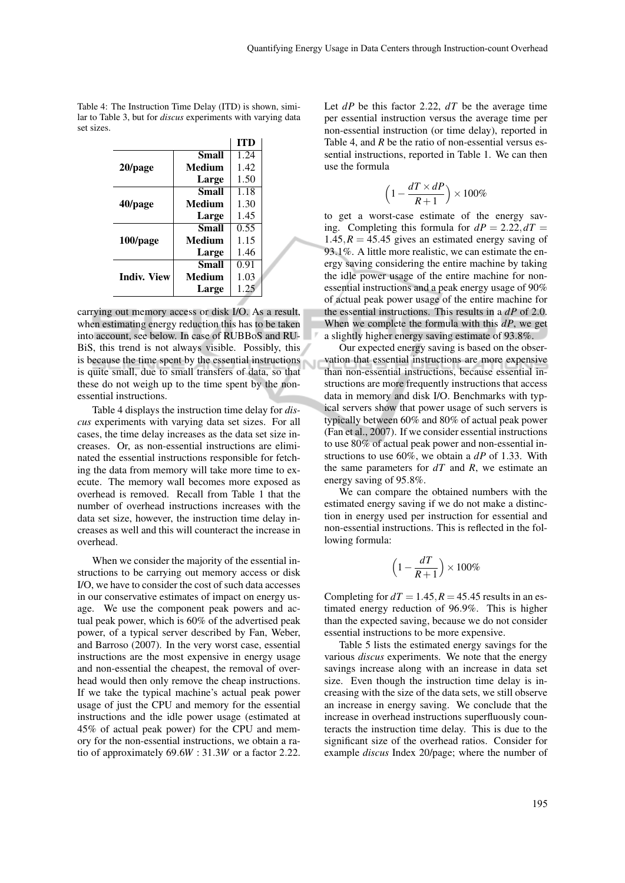|                    |              | <b>ITD</b> |
|--------------------|--------------|------------|
|                    | <b>Small</b> | 1.24       |
| 20/page            | Medium       | 1.42       |
|                    | Large        | 1.50       |
|                    | <b>Small</b> | 1.18       |
| 40/page            | Medium       | 1.30       |
|                    | Large        | 1.45       |
|                    | <b>Small</b> | 0.55       |
| 100/page           | Medium       | 1.15       |
|                    | Large        | 1.46       |
|                    | Small        | 0.91       |
| <b>Indiv. View</b> | Medium       | 1.03       |
|                    | Large        | 1.25       |

Table 4: The Instruction Time Delay (ITD) is shown, similar to Table 3, but for *discus* experiments with varying data set sizes.

carrying out memory access or disk I/O. As a result, when estimating energy reduction this has to be taken into account, see below. In case of RUBBoS and RU-BiS, this trend is not always visible. Possibly, this is because the time spent by the essential instructions is quite small, due to small transfers of data, so that these do not weigh up to the time spent by the nonessential instructions.

Table 4 displays the instruction time delay for *discus* experiments with varying data set sizes. For all cases, the time delay increases as the data set size increases. Or, as non-essential instructions are eliminated the essential instructions responsible for fetching the data from memory will take more time to execute. The memory wall becomes more exposed as overhead is removed. Recall from Table 1 that the number of overhead instructions increases with the data set size, however, the instruction time delay increases as well and this will counteract the increase in overhead.

When we consider the majority of the essential instructions to be carrying out memory access or disk I/O, we have to consider the cost of such data accesses in our conservative estimates of impact on energy usage. We use the component peak powers and actual peak power, which is 60% of the advertised peak power, of a typical server described by Fan, Weber, and Barroso (2007). In the very worst case, essential instructions are the most expensive in energy usage and non-essential the cheapest, the removal of overhead would then only remove the cheap instructions. If we take the typical machine's actual peak power usage of just the CPU and memory for the essential instructions and the idle power usage (estimated at 45% of actual peak power) for the CPU and memory for the non-essential instructions, we obtain a ratio of approximately 69.6*W* : 31.3*W* or a factor 2.22.

Let *dP* be this factor 2.22, *dT* be the average time per essential instruction versus the average time per non-essential instruction (or time delay), reported in Table 4, and *R* be the ratio of non-essential versus essential instructions, reported in Table 1. We can then use the formula

$$
\left(1 - \frac{dT \times dP}{R+1}\right) \times 100\%
$$

to get a worst-case estimate of the energy saving. Completing this formula for  $dP = 2.22, dT =$  $1.45, R = 45.45$  gives an estimated energy saving of 93.1%. A little more realistic, we can estimate the energy saving considering the entire machine by taking the idle power usage of the entire machine for nonessential instructions and a peak energy usage of 90% of actual peak power usage of the entire machine for the essential instructions. This results in a *dP* of 2.0. When we complete the formula with this *dP*, we get a slightly higher energy saving estimate of 93.8%.

Our expected energy saving is based on the observation that essential instructions are more expensive than non-essential instructions, because essential instructions are more frequently instructions that access data in memory and disk I/O. Benchmarks with typical servers show that power usage of such servers is typically between 60% and 80% of actual peak power (Fan et al., 2007). If we consider essential instructions to use 80% of actual peak power and non-essential instructions to use 60%, we obtain a *dP* of 1.33. With the same parameters for *dT* and *R*, we estimate an energy saving of 95.8%.

We can compare the obtained numbers with the estimated energy saving if we do not make a distinction in energy used per instruction for essential and non-essential instructions. This is reflected in the following formula:

$$
\left(1-\frac{dT}{R+1}\right)\times100\%
$$

Completing for  $dT = 1.45$ ,  $R = 45.45$  results in an estimated energy reduction of 96.9%. This is higher than the expected saving, because we do not consider essential instructions to be more expensive.

Table 5 lists the estimated energy savings for the various *discus* experiments. We note that the energy savings increase along with an increase in data set size. Even though the instruction time delay is increasing with the size of the data sets, we still observe an increase in energy saving. We conclude that the increase in overhead instructions superfluously counteracts the instruction time delay. This is due to the significant size of the overhead ratios. Consider for example *discus* Index 20/page; where the number of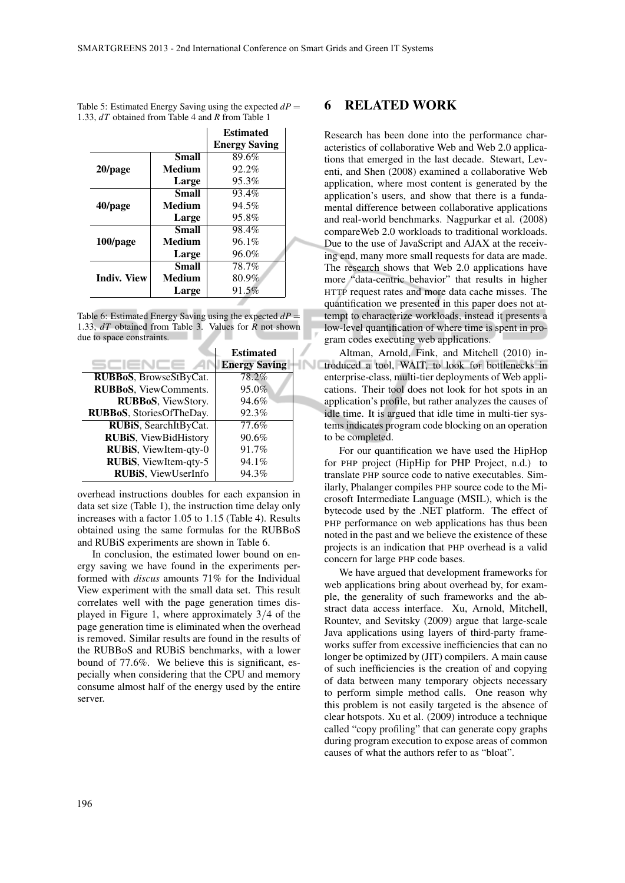|                    |              | <b>Estimated</b>     |
|--------------------|--------------|----------------------|
|                    |              | <b>Energy Saving</b> |
|                    | Small        | 89.6%                |
| 20/page            | Medium       | $92.2\%$             |
|                    | Large        | 95.3%                |
| 40/page            | <b>Small</b> | 93.4%                |
|                    | Medium       | 94.5%                |
|                    | Large        | 95.8%                |
| 100/page           | Small        | 98.4%                |
|                    | Medium       | $96.1\%$             |
|                    | Large        | 96.0%                |
| <b>Indiv. View</b> | Small        | 78.7%                |
|                    | Medium       | 80.9%                |
|                    | Large        | 91.5%                |
|                    |              |                      |

| Table 5: Estimated Energy Saving using the expected $dP =$ |  |
|------------------------------------------------------------|--|
| 1.33, dT obtained from Table 4 and R from Table 1          |  |

Table 6: Estimated Energy Saving using the expected  $dP =$ 1.33, *dT* obtained from Table 3. Values for *R* not shown due to space constraints.

|                               | <b>Estimated</b>     |  |
|-------------------------------|----------------------|--|
|                               | <b>Energy Saving</b> |  |
| RUBBoS, BrowseStByCat.        | 78.2%                |  |
| <b>RUBBoS</b> , ViewComments. | 95.0%                |  |
| RUBBoS, ViewStory.            | 94.6%                |  |
| RUBBoS, StoriesOfTheDay.      | 92.3%                |  |
| RUBIS, SearchItByCat.         | 77.6%                |  |
| <b>RUBIS, ViewBidHistory</b>  | 90.6%                |  |
| RUBIS, ViewItem-qty-0         | 91.7%                |  |
| RUBIS, ViewItem-qty-5         | 94.1%                |  |
| <b>RUBIS</b> , ViewUserInfo   | 94.3%                |  |

overhead instructions doubles for each expansion in data set size (Table 1), the instruction time delay only increases with a factor 1.05 to 1.15 (Table 4). Results obtained using the same formulas for the RUBBoS and RUBiS experiments are shown in Table 6.

In conclusion, the estimated lower bound on energy saving we have found in the experiments performed with *discus* amounts 71% for the Individual View experiment with the small data set. This result correlates well with the page generation times displayed in Figure 1, where approximately 3/4 of the page generation time is eliminated when the overhead is removed. Similar results are found in the results of the RUBBoS and RUBiS benchmarks, with a lower bound of 77.6%. We believe this is significant, especially when considering that the CPU and memory consume almost half of the energy used by the entire server.

### 6 RELATED WORK

Research has been done into the performance characteristics of collaborative Web and Web 2.0 applications that emerged in the last decade. Stewart, Leventi, and Shen (2008) examined a collaborative Web application, where most content is generated by the application's users, and show that there is a fundamental difference between collaborative applications and real-world benchmarks. Nagpurkar et al. (2008) compareWeb 2.0 workloads to traditional workloads. Due to the use of JavaScript and AJAX at the receiving end, many more small requests for data are made. The research shows that Web 2.0 applications have more "data-centric behavior" that results in higher HTTP request rates and more data cache misses. The quantification we presented in this paper does not attempt to characterize workloads, instead it presents a low-level quantification of where time is spent in program codes executing web applications.

Altman, Arnold, Fink, and Mitchell (2010) introduced a tool, WAIT, to look for bottlenecks in enterprise-class, multi-tier deployments of Web applications. Their tool does not look for hot spots in an application's profile, but rather analyzes the causes of idle time. It is argued that idle time in multi-tier systems indicates program code blocking on an operation to be completed.

For our quantification we have used the HipHop for PHP project (HipHip for PHP Project, n.d.) to translate PHP source code to native executables. Similarly, Phalanger compiles PHP source code to the Microsoft Intermediate Language (MSIL), which is the bytecode used by the .NET platform. The effect of PHP performance on web applications has thus been noted in the past and we believe the existence of these projects is an indication that PHP overhead is a valid concern for large PHP code bases.

We have argued that development frameworks for web applications bring about overhead by, for example, the generality of such frameworks and the abstract data access interface. Xu, Arnold, Mitchell, Rountev, and Sevitsky (2009) argue that large-scale Java applications using layers of third-party frameworks suffer from excessive inefficiencies that can no longer be optimized by (JIT) compilers. A main cause of such inefficiencies is the creation of and copying of data between many temporary objects necessary to perform simple method calls. One reason why this problem is not easily targeted is the absence of clear hotspots. Xu et al. (2009) introduce a technique called "copy profiling" that can generate copy graphs during program execution to expose areas of common causes of what the authors refer to as "bloat".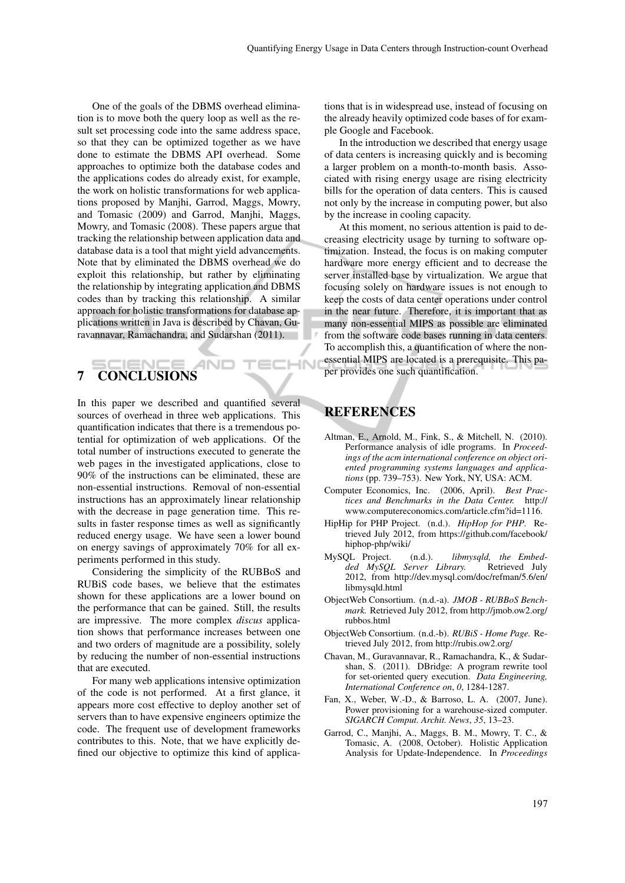One of the goals of the DBMS overhead elimination is to move both the query loop as well as the result set processing code into the same address space, so that they can be optimized together as we have done to estimate the DBMS API overhead. Some approaches to optimize both the database codes and the applications codes do already exist, for example, the work on holistic transformations for web applications proposed by Manjhi, Garrod, Maggs, Mowry, and Tomasic (2009) and Garrod, Manjhi, Maggs, Mowry, and Tomasic (2008). These papers argue that tracking the relationship between application data and database data is a tool that might yield advancements. Note that by eliminated the DBMS overhead we do exploit this relationship, but rather by eliminating the relationship by integrating application and DBMS codes than by tracking this relationship. A similar approach for holistic transformations for database applications written in Java is described by Chavan, Guravannavar, Ramachandra, and Sudarshan (2011).

# 7 CONCLUSIONS

In this paper we described and quantified several sources of overhead in three web applications. This quantification indicates that there is a tremendous potential for optimization of web applications. Of the total number of instructions executed to generate the web pages in the investigated applications, close to 90% of the instructions can be eliminated, these are non-essential instructions. Removal of non-essential instructions has an approximately linear relationship with the decrease in page generation time. This results in faster response times as well as significantly reduced energy usage. We have seen a lower bound on energy savings of approximately 70% for all experiments performed in this study.

Considering the simplicity of the RUBBoS and RUBiS code bases, we believe that the estimates shown for these applications are a lower bound on the performance that can be gained. Still, the results are impressive. The more complex *discus* application shows that performance increases between one and two orders of magnitude are a possibility, solely by reducing the number of non-essential instructions that are executed.

For many web applications intensive optimization of the code is not performed. At a first glance, it appears more cost effective to deploy another set of servers than to have expensive engineers optimize the code. The frequent use of development frameworks contributes to this. Note, that we have explicitly defined our objective to optimize this kind of applica-

tions that is in widespread use, instead of focusing on the already heavily optimized code bases of for example Google and Facebook.

In the introduction we described that energy usage of data centers is increasing quickly and is becoming a larger problem on a month-to-month basis. Associated with rising energy usage are rising electricity bills for the operation of data centers. This is caused not only by the increase in computing power, but also by the increase in cooling capacity.

At this moment, no serious attention is paid to decreasing electricity usage by turning to software optimization. Instead, the focus is on making computer hardware more energy efficient and to decrease the server installed base by virtualization. We argue that focusing solely on hardware issues is not enough to keep the costs of data center operations under control in the near future. Therefore, it is important that as many non-essential MIPS as possible are eliminated from the software code bases running in data centers. To accomplish this, a quantification of where the nonessential MIPS are located is a prerequisite. This paper provides one such quantification.

### **REFERENCES**

**IHN** 

- Altman, E., Arnold, M., Fink, S., & Mitchell, N. (2010). Performance analysis of idle programs. In *Proceedings of the acm international conference on object oriented programming systems languages and applications* (pp. 739–753). New York, NY, USA: ACM.
- Computer Economics, Inc. (2006, April). *Best Practices and Benchmarks in the Data Center.* http:// www.computereconomics.com/article.cfm?id=1116.
- HipHip for PHP Project. (n.d.). *HipHop for PHP.* Retrieved July 2012, from https://github.com/facebook/ hiphop-php/wiki/
- MySQL Project. (n.d.). *libmysqld, the Embed* $ded$  MySQL Server Library. 2012, from http://dev.mysql.com/doc/refman/5.6/en/ libmysqld.html
- ObjectWeb Consortium. (n.d.-a). *JMOB RUBBoS Benchmark.* Retrieved July 2012, from http://jmob.ow2.org/ rubbos.html
- ObjectWeb Consortium. (n.d.-b). *RUBiS Home Page.* Retrieved July 2012, from http://rubis.ow2.org/
- Chavan, M., Guravannavar, R., Ramachandra, K., & Sudarshan, S. (2011). DBridge: A program rewrite tool for set-oriented query execution. *Data Engineering, International Conference on*, *0*, 1284-1287.
- Fan, X., Weber, W.-D., & Barroso, L. A. (2007, June). Power provisioning for a warehouse-sized computer. *SIGARCH Comput. Archit. News*, *35*, 13–23.
- Garrod, C., Manjhi, A., Maggs, B. M., Mowry, T. C., & Tomasic, A. (2008, October). Holistic Application Analysis for Update-Independence. In *Proceedings*